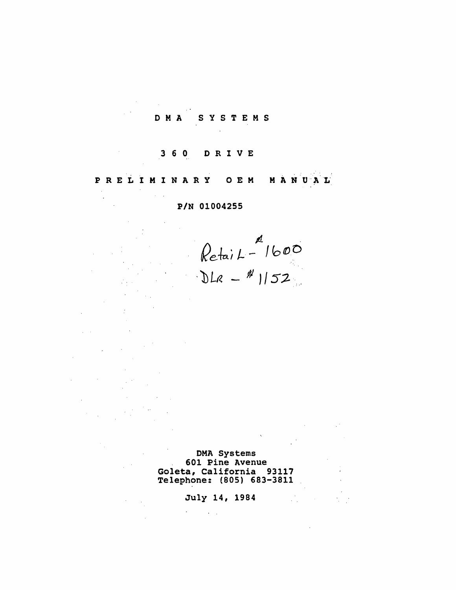#### SYSTEMS D M A

#### $360$ DRIVE

 $\sim$ 

PRELIMINARY O E M MANUAL

## P/N 01004255

 $\kappa$ etai  $L^{-1}$ 1600  $DE = 152$ 

DMA Systems 601 Pine Avenue Goleta, California 93117 Telephone: (805) 683-3811

## July 14, 1984

 $\sigma_{\rm{eff}}=0.01$  and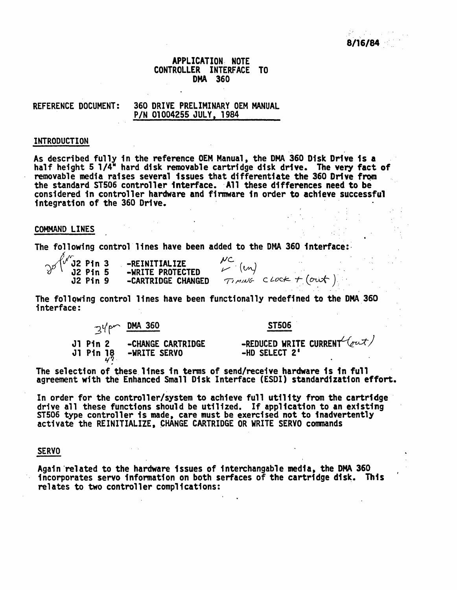# APPLICATION: NOTE CONTROLLER INTERFACE TO . DMA 360

### REFERENCE DOCUMENT: 360 DRIVE PRELIMINARY OEM MANUAL PIN 01004255 JULY, 1984

#### INTRODUCTION

As described fully in the reference OEM Manual, the DMA 360 Disk Drive is a half height 5  $1/4^M$  hard disk removable cartridge disk drive. The very fact of removable media raises several issues that differentiate the 360 Drive from the standard ST506 controller interface. All these differences need to be considered in controller hardware and finnware in order to achieve successful integration of the 360 Drive.

#### COMMAND LINES

The following control lines have been added to the DMA 360 interface:

 $\sim$   $\frac{1}{2}$  Pin 3 -REINITIALIZE  $\frac{NC}{(m)}$  $v^{\beta}$   $\lambda$  J2 Pin 5 -WRITE PROTECTED  $V^{\alpha}$ J2 Pin 9 -CARTRIDGE CHANGED  $\tau_1$  music clock + (out)

The following control lines have been functionally redefined to the DMA 360 interface:

74pm DMA 360 ST506

J1 Pin 2 -CHANGE CARTRIDGE -REDUCED WRITE CURRENT (but)<br>J1 Pin 18 -WRITE SERVO --HD SELECT 2'

The selection of these lines in terms of send/receive hardware is in full agreement with the Enhanced Small Disk Interface (ESDI) standardization effort.

In order for the controller/system to achieve full utility from the cartridge<br>drive all these functions should be utilized. If application to an existing<br>ST506 type controller is made, care must be exercised not to inadver

#### SERVO

Again related to the hardware issues of interchangable media, the DMA 360 incorporates servo information on both serfaces of the cartridge disk. This relates to two controller complications: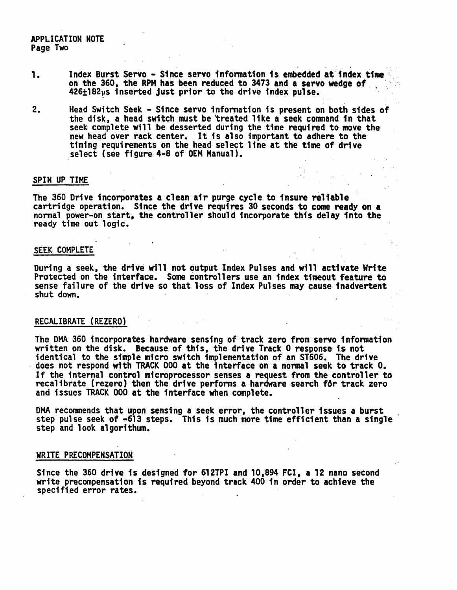### APPLICATION NOTE Page Two

- 1. Index Burst Servo - Since servo information is embedded at index time on the 360, the RPM has been reduced to 3473 and a servo wedge of  $426\pm182\mu s$  inserted just prior to the drive index pulse.
- 2. Head Switch Seek - Since servo information is present on both sides of the disk, a head switch must be treated like a seek command in that seek complete will be desserted during the time required to move the new head over rack center. It is also important to adhere to the timing requirements on the head select line at the time of drive select (see figure 4-8 of OEM Manual).

#### SPIN UP TIME

The 360 Drive incorporates a clean air purge cycle to insure reliable' cartridge operation. Since the drive requires 30 seconds to come ready on a normal power-on start, the controller should incorporate this delay into the ready time out logic.

#### SEEK COMPLETE

During a seek, the drive will not output Index Pulses and will' activate Write Protected on the interface. Some controllers use an index timeout feature to sense failure of the drive so that loss of Index Pulses may cause inadvertent shut down.

### RECALIBRATE (REZERO)

The DMA 360 incorporates hardware sensing of track zero from servo information written on the disk. Because of this, the drive Track 0 response is not identical to the simple micro switch implementation of an ST506. The drive does not respond with TRACK 000 at the interface on a normal seek to track O. If the internal control microprocessor senses a request from the controller to recalibrate (rezero) then the drive performs a hardware search f6r track zero and issues TRACK 000 at the interface when complete.

DMA recommends that upon sensing a seek error, the controller issues a burst step pulse seek of -613 steps. This is much more time efficient than a single step and look algorithum.

#### WRITE PRECOMPENSATION

Since the 360 drive is designed for 612TPI and 10,894 FCI, a 12 nano second write precompensation is required beyond track 400 in order to achieve the specified error rates. '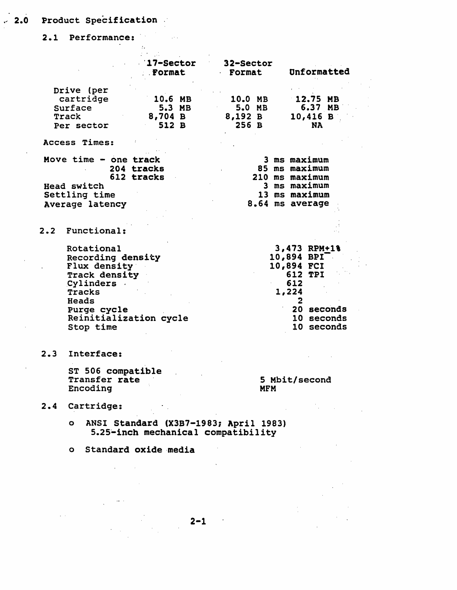## *·J* 2.0 Product Specification

2.1 Performance:

|                                                                                                      | <b>17-Sector</b><br>Format   | 32-Sector<br>Format                                                                                 | Unformatted                                                                        |
|------------------------------------------------------------------------------------------------------|------------------------------|-----------------------------------------------------------------------------------------------------|------------------------------------------------------------------------------------|
| Drive (per<br>cartridge<br>Surface<br>Track                                                          | 10.6 MB<br>5.3 MB<br>8,704 B | 10.0 MB<br>5.0 MB<br>8,192 B                                                                        | 12.75 MB<br>6.37 MB<br>$10,416$ B                                                  |
| Per sector<br>Access Times:                                                                          | 512 B                        | 256B                                                                                                | <b>NA</b>                                                                          |
| Move time - one track<br>204 tracks<br>612 tracks<br>Head switch<br>Settling time<br>Average latency |                              | 3 ms maximum<br>85 ms maximum<br>210 ms maximum<br>3 ms maximum<br>13 ms maximum<br>8.64 ms average |                                                                                    |
| 2.2 Functional:                                                                                      |                              |                                                                                                     |                                                                                    |
| Rotational<br>Recording density<br>Flux density<br><b>Track density</b><br>Cylinders .<br>Tracks     |                              |                                                                                                     | 3,473 RPM+1%<br>$10,894$ BPI <sup>-</sup><br>10,894 FCI<br>612 TPI<br>612<br>1,224 |
| Heads<br>Purge cycle<br>Stop time                                                                    | Reinitialization cycle       |                                                                                                     | $\mathbf{2}$<br>20 seconds<br>10 seconds<br>10 seconds                             |
| 2.3 Interface:                                                                                       |                              |                                                                                                     |                                                                                    |

ST 506 compatible<br>Transfer rate<br>Theoding Encoding 5 Mbit/second MFM

 $\label{eq:2.1} \mathcal{L}(\mathcal{L}^{\text{max}}_{\mathcal{L}}(\mathcal{L}^{\text{max}}_{\mathcal{L}})) \leq \mathcal{L}(\mathcal{L}^{\text{max}}_{\mathcal{L}}(\mathcal{L}^{\text{max}}_{\mathcal{L}})) \leq \mathcal{L}(\mathcal{L}^{\text{max}}_{\mathcal{L}}(\mathcal{L}^{\text{max}}_{\mathcal{L}}))$ 

 $\label{eq:2.1} \frac{1}{\sqrt{2\pi}}\int_{\mathbb{R}^3}\frac{1}{\sqrt{2\pi}}\left(\frac{1}{\sqrt{2\pi}}\right)^2\frac{1}{\sqrt{2\pi}}\frac{1}{\sqrt{2\pi}}\frac{1}{\sqrt{2\pi}}\frac{1}{\sqrt{2\pi}}\frac{1}{\sqrt{2\pi}}\frac{1}{\sqrt{2\pi}}\frac{1}{\sqrt{2\pi}}\frac{1}{\sqrt{2\pi}}\frac{1}{\sqrt{2\pi}}\frac{1}{\sqrt{2\pi}}\frac{1}{\sqrt{2\pi}}\frac{1}{\sqrt{2\pi}}\frac{1}{\sqrt{2\pi}}\frac$ 

# 2.4 Cartridge:

- o ANSI Standard (X3B7-1983; April 1983) S.2S'-inch mechanical compatibility
- o Standard oxide media

 $\mathcal{L}(\mathcal{A})$  and  $\mathcal{L}(\mathcal{A})$  .

 $\mathcal{L}^{\text{max}}_{\text{max}}$  and  $\mathcal{L}^{\text{max}}_{\text{max}}$ 

 $\frac{1}{\sqrt{2}}\left( \frac{1}{\sqrt{2}}\right)$  , and  $\frac{1}{\sqrt{2}}$  , and  $\frac{1}{\sqrt{2}}$ 

 $\frac{1}{2}$ 

 $\Delta$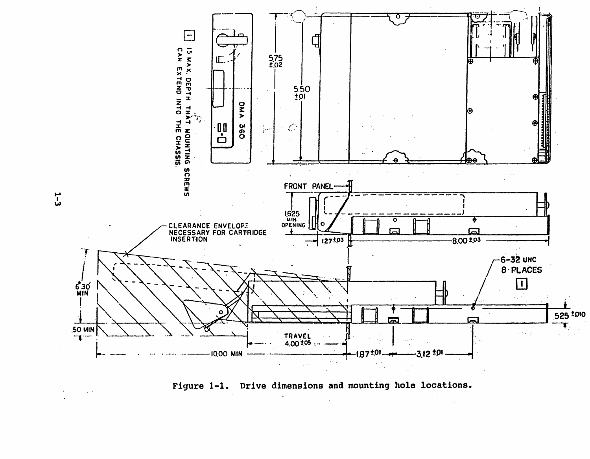



 $\overline{L}$